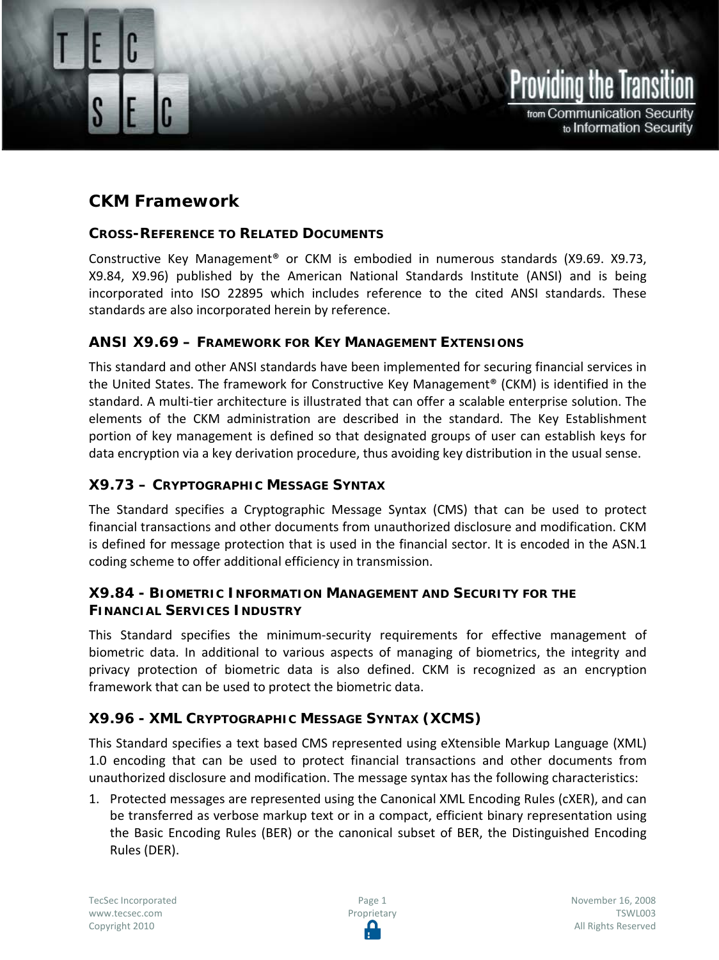

from Communication Security to Information Security

# **CKM Framework**

CKM Framework

#### **CROSS-REFERENCE TO RELATED DOCUMENTS**

Constructive Key Management® or CKM is embodied in numerous standards (X9.69. X9.73, X9.84, X9.96) published by the American National Standards Institute (ANSI) and is being incorporated into ISO 22895 which includes reference to the cited ANSI standards. These standards are also incorporated herein by reference.

## **ANSI X9.69 – FRAMEWORK FOR KEY MANAGEMENT EXTENSIONS**

This standard and other ANSI standards have been implemented for securing financial services in the United States. The framework for Constructive Key Management® (CKM) is identified in the standard. A multi-tier architecture is illustrated that can offer a scalable enterprise solution. The elements of the CKM administration are described in the standard. The Key Establishment portion of key management is defined so that designated groups of user can establish keys for data encryption via a key derivation procedure, thus avoiding key distribution in the usual sense.

## **X9.73 – CRYPTOGRAPHIC MESSAGE SYNTAX**

The Standard specifies a Cryptographic Message Syntax (CMS) that can be used to protect financial transactions and other documents from unauthorized disclosure and modification. CKM is defined for message protection that is used in the financial sector. It is encoded in the ASN.1 coding scheme to offer additional efficiency in transmission.

## **X9.84 - BIOMETRIC INFORMATION MANAGEMENT AND SECURITY FOR THE FINANCIAL SERVICES INDUSTRY**

This Standard specifies the minimum-security requirements for effective management of biometric data. In additional to various aspects of managing of biometrics, the integrity and privacy protection of biometric data is also defined. CKM is recognized as an encryption framework that can be used to protect the biometric data.

## **X9.96 - XML CRYPTOGRAPHIC MESSAGE SYNTAX (XCMS)**

This Standard specifies a text based CMS represented using eXtensible Markup Language (XML) 1.0 encoding that can be used to protect financial transactions and other documents from unauthorized disclosure and modification. The message syntax has the following characteristics:

1. Protected messages are represented using the Canonical XML Encoding Rules (cXER), and can be transferred as verbose markup text or in a compact, efficient binary representation using the Basic Encoding Rules (BER) or the canonical subset of BER, the Distinguished Encoding Rules (DER).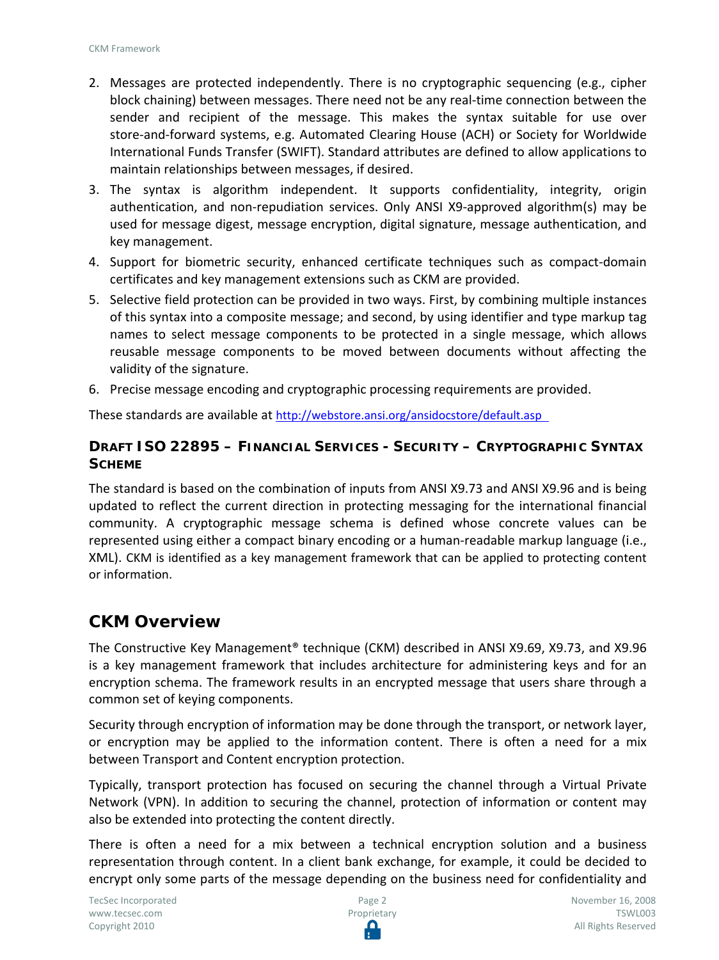- 2. Messages are protected independently. There is no cryptographic sequencing (e.g., cipher block chaining) between messages. There need not be any real-time connection between the sender and recipient of the message. This makes the syntax suitable for use over store-and-forward systems, e.g. Automated Clearing House (ACH) or Society for Worldwide International Funds Transfer (SWIFT). Standard attributes are defined to allow applications to maintain relationships between messages, if desired.
- 3. The syntax is algorithm independent. It supports confidentiality, integrity, origin authentication, and non-repudiation services. Only ANSI X9-approved algorithm(s) may be used for message digest, message encryption, digital signature, message authentication, and key management.
- 4. Support for biometric security, enhanced certificate techniques such as compact-domain certificates and key management extensions such as CKM are provided.
- 5. Selective field protection can be provided in two ways. First, by combining multiple instances of this syntax into a composite message; and second, by using identifier and type markup tag names to select message components to be protected in a single message, which allows reusable message components to be moved between documents without affecting the validity of the signature.
- 6. Precise message encoding and cryptographic processing requirements are provided.

These standards are available at<http://webstore.ansi.org/ansidocstore/default.asp>

## **DRAFT ISO 22895 – FINANCIAL SERVICES - SECURITY – CRYPTOGRAPHIC SYNTAX SCHEME**

The standard is based on the combination of inputs from ANSI X9.73 and ANSI X9.96 and is being updated to reflect the current direction in protecting messaging for the international financial community. A cryptographic message schema is defined whose concrete values can be represented using either a compact binary encoding or a human-readable markup language (i.e., XML). CKM is identified as a key management framework that can be applied to protecting content or information.

## **CKM Overview**

The Constructive Key Management® technique (CKM) described in ANSI X9.69, X9.73, and X9.96 is a key management framework that includes architecture for administering keys and for an encryption schema. The framework results in an encrypted message that users share through a common set of keying components.

Security through encryption of information may be done through the transport, or network layer, or encryption may be applied to the information content. There is often a need for a mix between Transport and Content encryption protection.

Typically, transport protection has focused on securing the channel through a Virtual Private Network (VPN). In addition to securing the channel, protection of information or content may also be extended into protecting the content directly.

There is often a need for a mix between a technical encryption solution and a business representation through content. In a client bank exchange, for example, it could be decided to encrypt only some parts of the message depending on the business need for confidentiality and

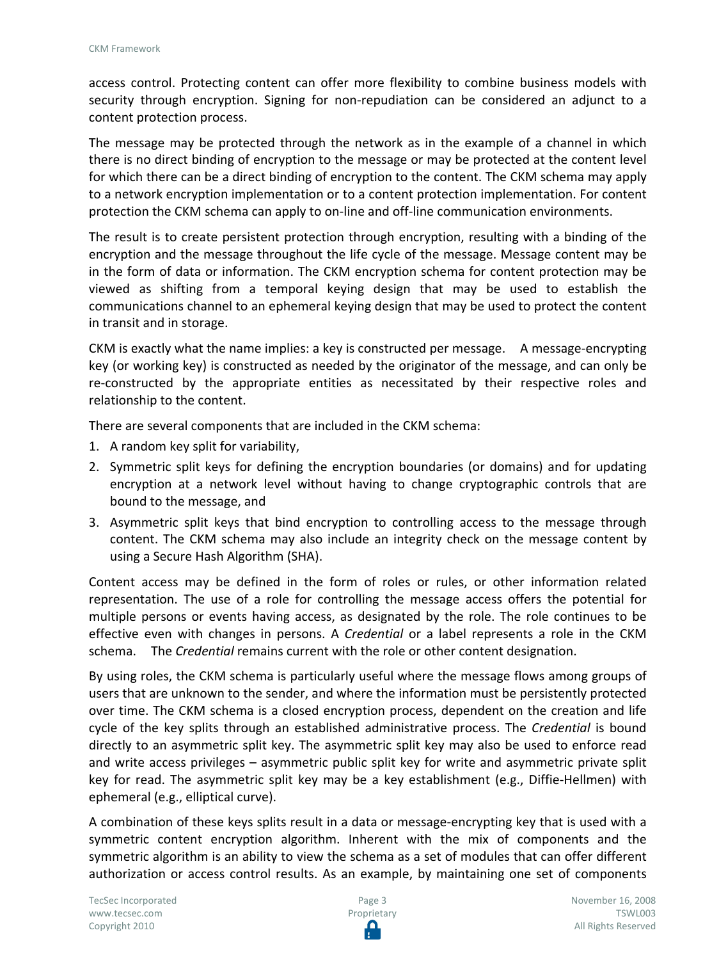access control. Protecting content can offer more flexibility to combine business models with security through encryption. Signing for non-repudiation can be considered an adjunct to a content protection process.

The message may be protected through the network as in the example of a channel in which there is no direct binding of encryption to the message or may be protected at the content level for which there can be a direct binding of encryption to the content. The CKM schema may apply to a network encryption implementation or to a content protection implementation. For content protection the CKM schema can apply to on-line and off-line communication environments.

The result is to create persistent protection through encryption, resulting with a binding of the encryption and the message throughout the life cycle of the message. Message content may be in the form of data or information. The CKM encryption schema for content protection may be viewed as shifting from a temporal keying design that may be used to establish the communications channel to an ephemeral keying design that may be used to protect the content in transit and in storage.

CKM is exactly what the name implies: a key is constructed per message. A message-encrypting key (or working key) is constructed as needed by the originator of the message, and can only be re-constructed by the appropriate entities as necessitated by their respective roles and relationship to the content.

There are several components that are included in the CKM schema:

- 1. A random key split for variability,
- 2. Symmetric split keys for defining the encryption boundaries (or domains) and for updating encryption at a network level without having to change cryptographic controls that are bound to the message, and
- 3. Asymmetric split keys that bind encryption to controlling access to the message through content. The CKM schema may also include an integrity check on the message content by using a Secure Hash Algorithm (SHA).

Content access may be defined in the form of roles or rules, or other information related representation. The use of a role for controlling the message access offers the potential for multiple persons or events having access, as designated by the role. The role continues to be effective even with changes in persons. A *Credential* or a label represents a role in the CKM schema. The *Credential* remains current with the role or other content designation.

By using roles, the CKM schema is particularly useful where the message flows among groups of users that are unknown to the sender, and where the information must be persistently protected over time. The CKM schema is a closed encryption process, dependent on the creation and life cycle of the key splits through an established administrative process. The *Credential* is bound directly to an asymmetric split key. The asymmetric split key may also be used to enforce read and write access privileges – asymmetric public split key for write and asymmetric private split key for read. The asymmetric split key may be a key establishment (e.g., Diffie-Hellmen) with ephemeral (e.g., elliptical curve).

A combination of these keys splits result in a data or message-encrypting key that is used with a symmetric content encryption algorithm. Inherent with the mix of components and the symmetric algorithm is an ability to view the schema as a set of modules that can offer different authorization or access control results. As an example, by maintaining one set of components

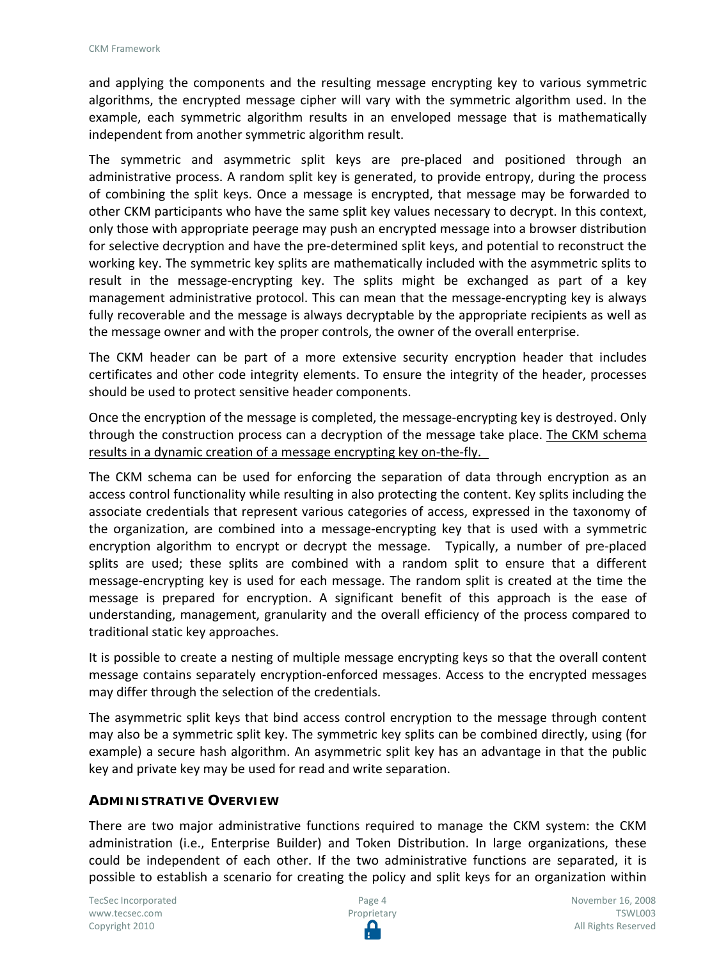and applying the components and the resulting message encrypting key to various symmetric algorithms, the encrypted message cipher will vary with the symmetric algorithm used. In the example, each symmetric algorithm results in an enveloped message that is mathematically independent from another symmetric algorithm result.

The symmetric and asymmetric split keys are pre-placed and positioned through an administrative process. A random split key is generated, to provide entropy, during the process of combining the split keys. Once a message is encrypted, that message may be forwarded to other CKM participants who have the same split key values necessary to decrypt. In this context, only those with appropriate peerage may push an encrypted message into a browser distribution for selective decryption and have the pre-determined split keys, and potential to reconstruct the working key. The symmetric key splits are mathematically included with the asymmetric splits to result in the message-encrypting key. The splits might be exchanged as part of a key management administrative protocol. This can mean that the message-encrypting key is always fully recoverable and the message is always decryptable by the appropriate recipients as well as the message owner and with the proper controls, the owner of the overall enterprise.

The CKM header can be part of a more extensive security encryption header that includes certificates and other code integrity elements. To ensure the integrity of the header, processes should be used to protect sensitive header components.

Once the encryption of the message is completed, the message-encrypting key is destroyed. Only through the construction process can a decryption of the message take place. The CKM schema results in a dynamic creation of a message encrypting key on-the-fly.

The CKM schema can be used for enforcing the separation of data through encryption as an access control functionality while resulting in also protecting the content. Key splits including the associate credentials that represent various categories of access, expressed in the taxonomy of the organization, are combined into a message-encrypting key that is used with a symmetric encryption algorithm to encrypt or decrypt the message. Typically, a number of pre-placed splits are used; these splits are combined with a random split to ensure that a different message-encrypting key is used for each message. The random split is created at the time the message is prepared for encryption. A significant benefit of this approach is the ease of understanding, management, granularity and the overall efficiency of the process compared to traditional static key approaches.

It is possible to create a nesting of multiple message encrypting keys so that the overall content message contains separately encryption-enforced messages. Access to the encrypted messages may differ through the selection of the credentials.

The asymmetric split keys that bind access control encryption to the message through content may also be a symmetric split key. The symmetric key splits can be combined directly, using (for example) a secure hash algorithm. An asymmetric split key has an advantage in that the public key and private key may be used for read and write separation.

#### **ADMINISTRATIVE OVERVIEW**

There are two major administrative functions required to manage the CKM system: the CKM administration (i.e., Enterprise Builder) and Token Distribution. In large organizations, these could be independent of each other. If the two administrative functions are separated, it is possible to establish a scenario for creating the policy and split keys for an organization within

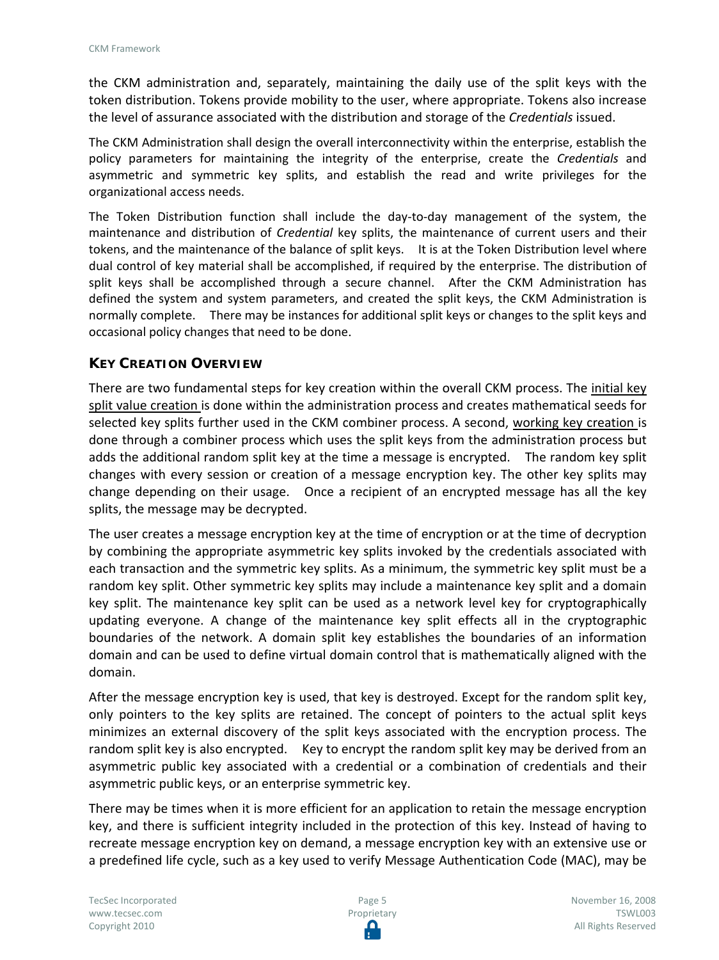the CKM administration and, separately, maintaining the daily use of the split keys with the token distribution. Tokens provide mobility to the user, where appropriate. Tokens also increase the level of assurance associated with the distribution and storage of the *Credentials* issued.

The CKM Administration shall design the overall interconnectivity within the enterprise, establish the policy parameters for maintaining the integrity of the enterprise, create the *Credentials* and asymmetric and symmetric key splits, and establish the read and write privileges for the organizational access needs.

The Token Distribution function shall include the day-to-day management of the system, the maintenance and distribution of *Credential* key splits, the maintenance of current users and their tokens, and the maintenance of the balance of split keys. It is at the Token Distribution level where dual control of key material shall be accomplished, if required by the enterprise. The distribution of split keys shall be accomplished through a secure channel. After the CKM Administration has defined the system and system parameters, and created the split keys, the CKM Administration is normally complete. There may be instances for additional split keys or changes to the split keys and occasional policy changes that need to be done.

## **KEY CREATION OVERVIEW**

There are two fundamental steps for key creation within the overall CKM process. The initial key split value creation is done within the administration process and creates mathematical seeds for selected key splits further used in the CKM combiner process. A second, working key creation is done through a combiner process which uses the split keys from the administration process but adds the additional random split key at the time a message is encrypted. The random key split changes with every session or creation of a message encryption key. The other key splits may change depending on their usage. Once a recipient of an encrypted message has all the key splits, the message may be decrypted.

The user creates a message encryption key at the time of encryption or at the time of decryption by combining the appropriate asymmetric key splits invoked by the credentials associated with each transaction and the symmetric key splits. As a minimum, the symmetric key split must be a random key split. Other symmetric key splits may include a maintenance key split and a domain key split. The maintenance key split can be used as a network level key for cryptographically updating everyone. A change of the maintenance key split effects all in the cryptographic boundaries of the network. A domain split key establishes the boundaries of an information domain and can be used to define virtual domain control that is mathematically aligned with the domain.

After the message encryption key is used, that key is destroyed. Except for the random split key, only pointers to the key splits are retained. The concept of pointers to the actual split keys minimizes an external discovery of the split keys associated with the encryption process. The random split key is also encrypted. Key to encrypt the random split key may be derived from an asymmetric public key associated with a credential or a combination of credentials and their asymmetric public keys, or an enterprise symmetric key.

There may be times when it is more efficient for an application to retain the message encryption key, and there is sufficient integrity included in the protection of this key. Instead of having to recreate message encryption key on demand, a message encryption key with an extensive use or a predefined life cycle, such as a key used to verify Message Authentication Code (MAC), may be

TecSec Incorporated [www.tecsec.com](http://www.tecsec.com/) Copyright 2010

Page 5 Proprietary Ω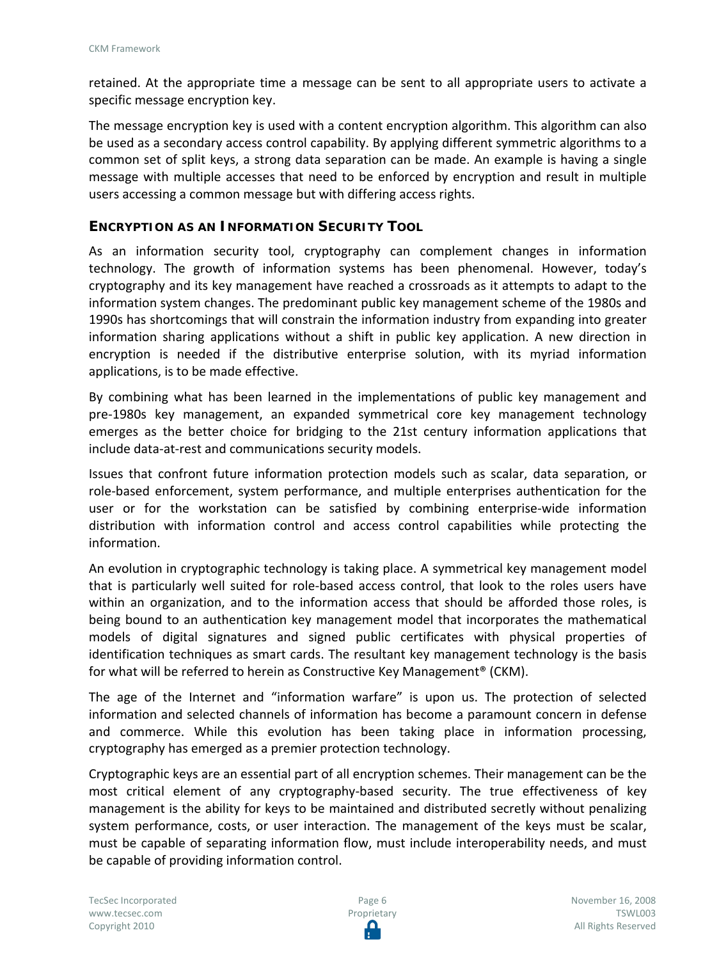retained. At the appropriate time a message can be sent to all appropriate users to activate a specific message encryption key.

The message encryption key is used with a content encryption algorithm. This algorithm can also be used as a secondary access control capability. By applying different symmetric algorithms to a common set of split keys, a strong data separation can be made. An example is having a single message with multiple accesses that need to be enforced by encryption and result in multiple users accessing a common message but with differing access rights.

#### **ENCRYPTION AS AN INFORMATION SECURITY TOOL**

As an information security tool, cryptography can complement changes in information technology. The growth of information systems has been phenomenal. However, today's cryptography and its key management have reached a crossroads as it attempts to adapt to the information system changes. The predominant public key management scheme of the 1980s and 1990s has shortcomings that will constrain the information industry from expanding into greater information sharing applications without a shift in public key application. A new direction in encryption is needed if the distributive enterprise solution, with its myriad information applications, is to be made effective.

By combining what has been learned in the implementations of public key management and pre-1980s key management, an expanded symmetrical core key management technology emerges as the better choice for bridging to the 21st century information applications that include data-at-rest and communications security models.

Issues that confront future information protection models such as scalar, data separation, or role-based enforcement, system performance, and multiple enterprises authentication for the user or for the workstation can be satisfied by combining enterprise-wide information distribution with information control and access control capabilities while protecting the information.

An evolution in cryptographic technology is taking place. A symmetrical key management model that is particularly well suited for role-based access control, that look to the roles users have within an organization, and to the information access that should be afforded those roles, is being bound to an authentication key management model that incorporates the mathematical models of digital signatures and signed public certificates with physical properties of identification techniques as smart cards. The resultant key management technology is the basis for what will be referred to herein as Constructive Key Management® (CKM).

The age of the Internet and "information warfare" is upon us. The protection of selected information and selected channels of information has become a paramount concern in defense and commerce. While this evolution has been taking place in information processing, cryptography has emerged as a premier protection technology.

Cryptographic keys are an essential part of all encryption schemes. Their management can be the most critical element of any cryptography-based security. The true effectiveness of key management is the ability for keys to be maintained and distributed secretly without penalizing system performance, costs, or user interaction. The management of the keys must be scalar, must be capable of separating information flow, must include interoperability needs, and must be capable of providing information control.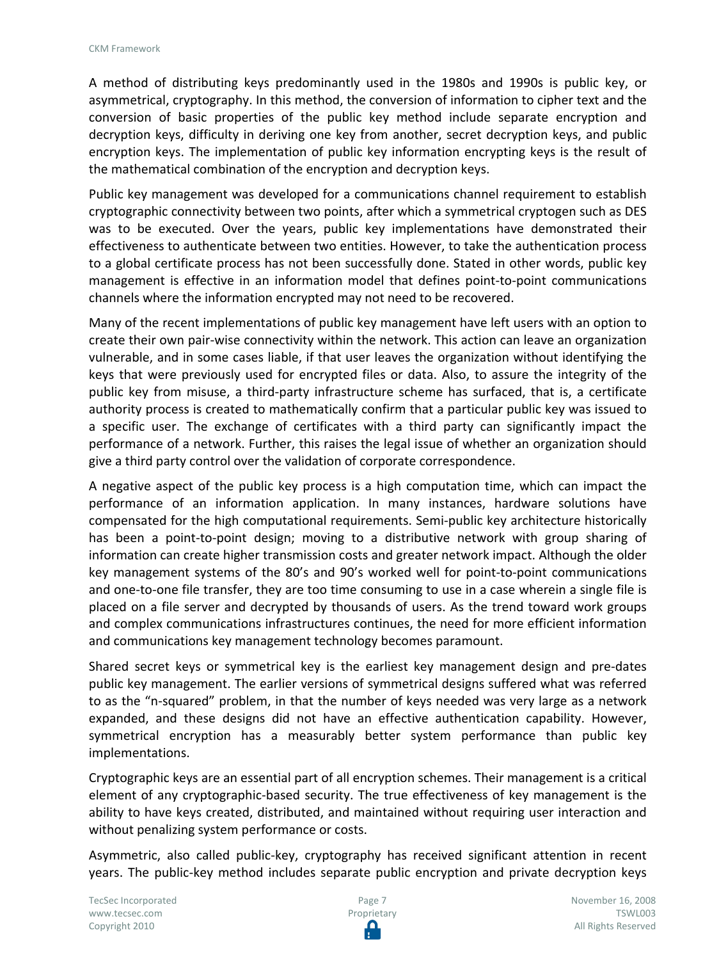A method of distributing keys predominantly used in the 1980s and 1990s is public key, or asymmetrical, cryptography. In this method, the conversion of information to cipher text and the conversion of basic properties of the public key method include separate encryption and decryption keys, difficulty in deriving one key from another, secret decryption keys, and public encryption keys. The implementation of public key information encrypting keys is the result of the mathematical combination of the encryption and decryption keys.

Public key management was developed for a communications channel requirement to establish cryptographic connectivity between two points, after which a symmetrical cryptogen such as DES was to be executed. Over the years, public key implementations have demonstrated their effectiveness to authenticate between two entities. However, to take the authentication process to a global certificate process has not been successfully done. Stated in other words, public key management is effective in an information model that defines point-to-point communications channels where the information encrypted may not need to be recovered.

Many of the recent implementations of public key management have left users with an option to create their own pair-wise connectivity within the network. This action can leave an organization vulnerable, and in some cases liable, if that user leaves the organization without identifying the keys that were previously used for encrypted files or data. Also, to assure the integrity of the public key from misuse, a third-party infrastructure scheme has surfaced, that is, a certificate authority process is created to mathematically confirm that a particular public key was issued to a specific user. The exchange of certificates with a third party can significantly impact the performance of a network. Further, this raises the legal issue of whether an organization should give a third party control over the validation of corporate correspondence.

A negative aspect of the public key process is a high computation time, which can impact the performance of an information application. In many instances, hardware solutions have compensated for the high computational requirements. Semi-public key architecture historically has been a point-to-point design; moving to a distributive network with group sharing of information can create higher transmission costs and greater network impact. Although the older key management systems of the 80's and 90's worked well for point-to-point communications and one-to-one file transfer, they are too time consuming to use in a case wherein a single file is placed on a file server and decrypted by thousands of users. As the trend toward work groups and complex communications infrastructures continues, the need for more efficient information and communications key management technology becomes paramount.

Shared secret keys or symmetrical key is the earliest key management design and pre-dates public key management. The earlier versions of symmetrical designs suffered what was referred to as the "n-squared" problem, in that the number of keys needed was very large as a network expanded, and these designs did not have an effective authentication capability. However, symmetrical encryption has a measurably better system performance than public key implementations.

Cryptographic keys are an essential part of all encryption schemes. Their management is a critical element of any cryptographic-based security. The true effectiveness of key management is the ability to have keys created, distributed, and maintained without requiring user interaction and without penalizing system performance or costs.

Asymmetric, also called public-key, cryptography has received significant attention in recent years. The public-key method includes separate public encryption and private decryption keys

TecSec Incorporated [www.tecsec.com](http://www.tecsec.com/) Copyright 2010



November 16, 2008 TSWL003 All Rights Reserved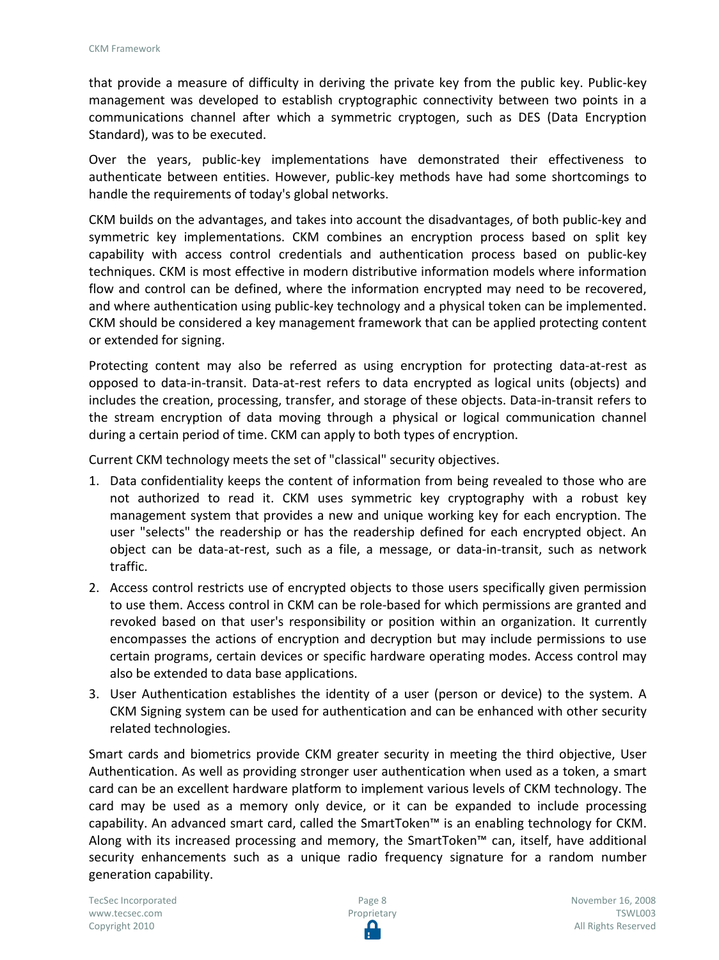that provide a measure of difficulty in deriving the private key from the public key. Public-key management was developed to establish cryptographic connectivity between two points in a communications channel after which a symmetric cryptogen, such as DES (Data Encryption Standard), was to be executed.

Over the years, public-key implementations have demonstrated their effectiveness to authenticate between entities. However, public-key methods have had some shortcomings to handle the requirements of today's global networks.

CKM builds on the advantages, and takes into account the disadvantages, of both public-key and symmetric key implementations. CKM combines an encryption process based on split key capability with access control credentials and authentication process based on public-key techniques. CKM is most effective in modern distributive information models where information flow and control can be defined, where the information encrypted may need to be recovered, and where authentication using public-key technology and a physical token can be implemented. CKM should be considered a key management framework that can be applied protecting content or extended for signing.

Protecting content may also be referred as using encryption for protecting data-at-rest as opposed to data-in-transit. Data-at-rest refers to data encrypted as logical units (objects) and includes the creation, processing, transfer, and storage of these objects. Data-in-transit refers to the stream encryption of data moving through a physical or logical communication channel during a certain period of time. CKM can apply to both types of encryption.

Current CKM technology meets the set of "classical" security objectives.

- 1. Data confidentiality keeps the content of information from being revealed to those who are not authorized to read it. CKM uses symmetric key cryptography with a robust key management system that provides a new and unique working key for each encryption. The user "selects" the readership or has the readership defined for each encrypted object. An object can be data-at-rest, such as a file, a message, or data-in-transit, such as network traffic.
- 2. Access control restricts use of encrypted objects to those users specifically given permission to use them. Access control in CKM can be role-based for which permissions are granted and revoked based on that user's responsibility or position within an organization. It currently encompasses the actions of encryption and decryption but may include permissions to use certain programs, certain devices or specific hardware operating modes. Access control may also be extended to data base applications.
- 3. User Authentication establishes the identity of a user (person or device) to the system. A CKM Signing system can be used for authentication and can be enhanced with other security related technologies.

Smart cards and biometrics provide CKM greater security in meeting the third objective, User Authentication. As well as providing stronger user authentication when used as a token, a smart card can be an excellent hardware platform to implement various levels of CKM technology. The card may be used as a memory only device, or it can be expanded to include processing capability. An advanced smart card, called the SmartToken™ is an enabling technology for CKM. Along with its increased processing and memory, the SmartToken™ can, itself, have additional security enhancements such as a unique radio frequency signature for a random number generation capability.

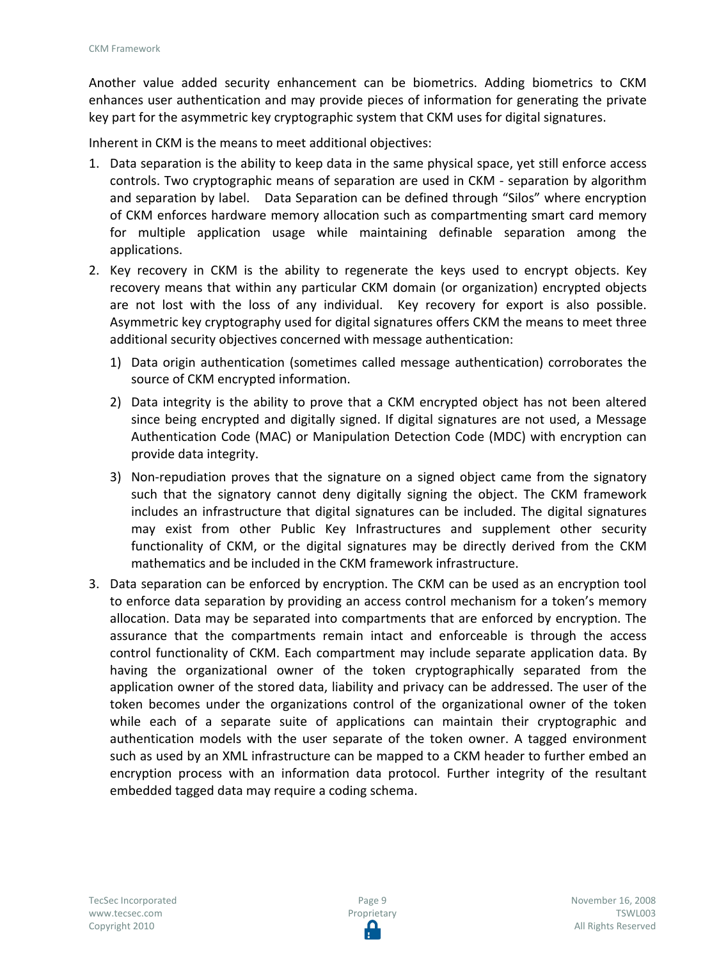Another value added security enhancement can be biometrics. Adding biometrics to CKM enhances user authentication and may provide pieces of information for generating the private key part for the asymmetric key cryptographic system that CKM uses for digital signatures.

Inherent in CKM is the means to meet additional objectives:

- 1. Data separation is the ability to keep data in the same physical space, yet still enforce access controls. Two cryptographic means of separation are used in CKM - separation by algorithm and separation by label. Data Separation can be defined through "Silos" where encryption of CKM enforces hardware memory allocation such as compartmenting smart card memory for multiple application usage while maintaining definable separation among the applications.
- 2. Key recovery in CKM is the ability to regenerate the keys used to encrypt objects. Key recovery means that within any particular CKM domain (or organization) encrypted objects are not lost with the loss of any individual. Key recovery for export is also possible. Asymmetric key cryptography used for digital signatures offers CKM the means to meet three additional security objectives concerned with message authentication:
	- 1) Data origin authentication (sometimes called message authentication) corroborates the source of CKM encrypted information.
	- 2) Data integrity is the ability to prove that a CKM encrypted object has not been altered since being encrypted and digitally signed. If digital signatures are not used, a Message Authentication Code (MAC) or Manipulation Detection Code (MDC) with encryption can provide data integrity.
	- 3) Non-repudiation proves that the signature on a signed object came from the signatory such that the signatory cannot deny digitally signing the object. The CKM framework includes an infrastructure that digital signatures can be included. The digital signatures may exist from other Public Key Infrastructures and supplement other security functionality of CKM, or the digital signatures may be directly derived from the CKM mathematics and be included in the CKM framework infrastructure.
- 3. Data separation can be enforced by encryption. The CKM can be used as an encryption tool to enforce data separation by providing an access control mechanism for a token's memory allocation. Data may be separated into compartments that are enforced by encryption. The assurance that the compartments remain intact and enforceable is through the access control functionality of CKM. Each compartment may include separate application data. By having the organizational owner of the token cryptographically separated from the application owner of the stored data, liability and privacy can be addressed. The user of the token becomes under the organizations control of the organizational owner of the token while each of a separate suite of applications can maintain their cryptographic and authentication models with the user separate of the token owner. A tagged environment such as used by an XML infrastructure can be mapped to a CKM header to further embed an encryption process with an information data protocol. Further integrity of the resultant embedded tagged data may require a coding schema.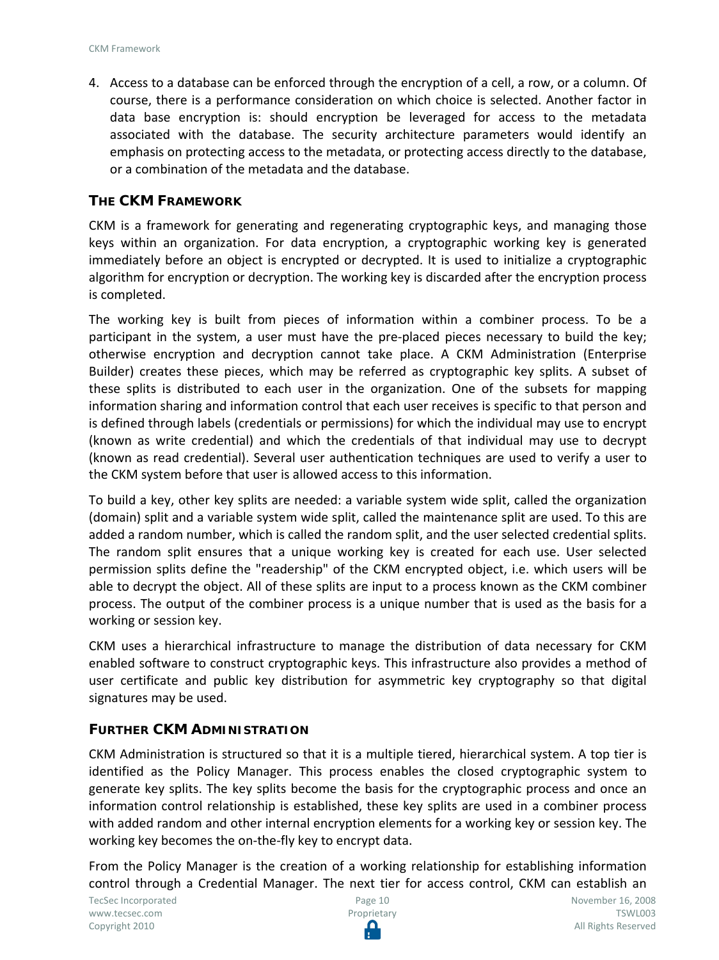4. Access to a database can be enforced through the encryption of a cell, a row, or a column. Of course, there is a performance consideration on which choice is selected. Another factor in data base encryption is: should encryption be leveraged for access to the metadata associated with the database. The security architecture parameters would identify an emphasis on protecting access to the metadata, or protecting access directly to the database, or a combination of the metadata and the database.

#### **THE CKM FRAMEWORK**

CKM is a framework for generating and regenerating cryptographic keys, and managing those keys within an organization. For data encryption, a cryptographic working key is generated immediately before an object is encrypted or decrypted. It is used to initialize a cryptographic algorithm for encryption or decryption. The working key is discarded after the encryption process is completed.

The working key is built from pieces of information within a combiner process. To be a participant in the system, a user must have the pre-placed pieces necessary to build the key; otherwise encryption and decryption cannot take place. A CKM Administration (Enterprise Builder) creates these pieces, which may be referred as cryptographic key splits. A subset of these splits is distributed to each user in the organization. One of the subsets for mapping information sharing and information control that each user receives is specific to that person and is defined through labels (credentials or permissions) for which the individual may use to encrypt (known as write credential) and which the credentials of that individual may use to decrypt (known as read credential). Several user authentication techniques are used to verify a user to the CKM system before that user is allowed access to this information.

To build a key, other key splits are needed: a variable system wide split, called the organization (domain) split and a variable system wide split, called the maintenance split are used. To this are added a random number, which is called the random split, and the user selected credential splits. The random split ensures that a unique working key is created for each use. User selected permission splits define the "readership" of the CKM encrypted object, i.e. which users will be able to decrypt the object. All of these splits are input to a process known as the CKM combiner process. The output of the combiner process is a unique number that is used as the basis for a working or session key.

CKM uses a hierarchical infrastructure to manage the distribution of data necessary for CKM enabled software to construct cryptographic keys. This infrastructure also provides a method of user certificate and public key distribution for asymmetric key cryptography so that digital signatures may be used.

#### **FURTHER CKM ADMINISTRATION**

CKM Administration is structured so that it is a multiple tiered, hierarchical system. A top tier is identified as the Policy Manager. This process enables the closed cryptographic system to generate key splits. The key splits become the basis for the cryptographic process and once an information control relationship is established, these key splits are used in a combiner process with added random and other internal encryption elements for a working key or session key. The working key becomes the on-the-fly key to encrypt data.

From the Policy Manager is the creation of a working relationship for establishing information control through a Credential Manager. The next tier for access control, CKM can establish an

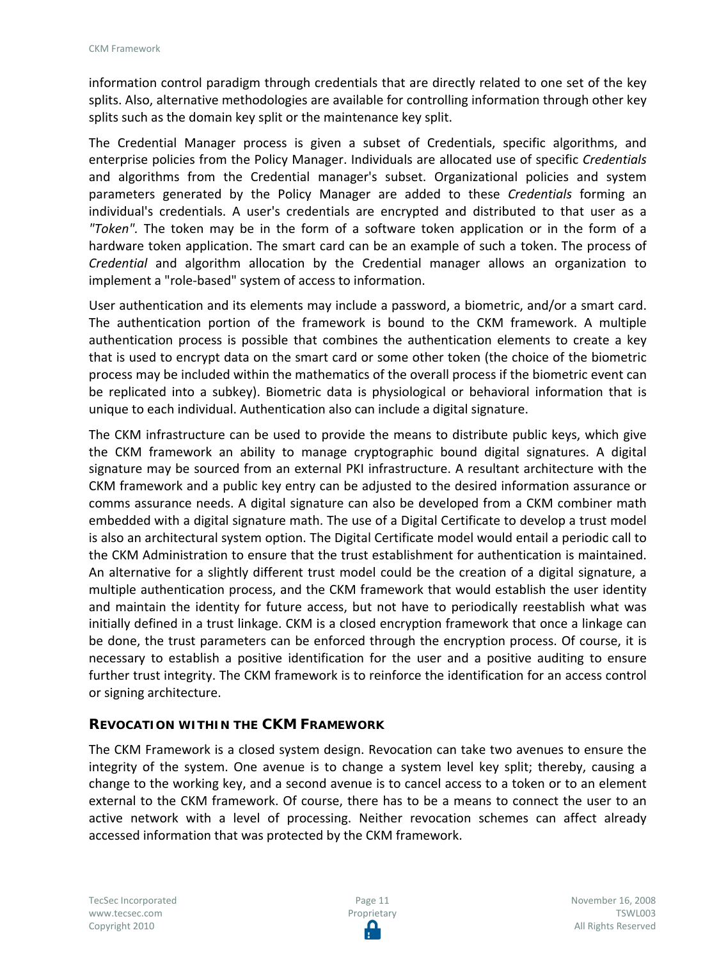information control paradigm through credentials that are directly related to one set of the key splits. Also, alternative methodologies are available for controlling information through other key splits such as the domain key split or the maintenance key split.

The Credential Manager process is given a subset of Credentials, specific algorithms, and enterprise policies from the Policy Manager. Individuals are allocated use of specific *Credentials* and algorithms from the Credential manager's subset. Organizational policies and system parameters generated by the Policy Manager are added to these *Credentials* forming an individual's credentials. A user's credentials are encrypted and distributed to that user as a *"Token".* The token may be in the form of a software token application or in the form of a hardware token application. The smart card can be an example of such a token. The process of *Credential* and algorithm allocation by the Credential manager allows an organization to implement a "role-based" system of access to information.

User authentication and its elements may include a password, a biometric, and/or a smart card. The authentication portion of the framework is bound to the CKM framework. A multiple authentication process is possible that combines the authentication elements to create a key that is used to encrypt data on the smart card or some other token (the choice of the biometric process may be included within the mathematics of the overall process if the biometric event can be replicated into a subkey). Biometric data is physiological or behavioral information that is unique to each individual. Authentication also can include a digital signature.

The CKM infrastructure can be used to provide the means to distribute public keys, which give the CKM framework an ability to manage cryptographic bound digital signatures. A digital signature may be sourced from an external PKI infrastructure. A resultant architecture with the CKM framework and a public key entry can be adjusted to the desired information assurance or comms assurance needs. A digital signature can also be developed from a CKM combiner math embedded with a digital signature math. The use of a Digital Certificate to develop a trust model is also an architectural system option. The Digital Certificate model would entail a periodic call to the CKM Administration to ensure that the trust establishment for authentication is maintained. An alternative for a slightly different trust model could be the creation of a digital signature, a multiple authentication process, and the CKM framework that would establish the user identity and maintain the identity for future access, but not have to periodically reestablish what was initially defined in a trust linkage. CKM is a closed encryption framework that once a linkage can be done, the trust parameters can be enforced through the encryption process. Of course, it is necessary to establish a positive identification for the user and a positive auditing to ensure further trust integrity. The CKM framework is to reinforce the identification for an access control or signing architecture.

#### **REVOCATION WITHIN THE CKM FRAMEWORK**

The CKM Framework is a closed system design. Revocation can take two avenues to ensure the integrity of the system. One avenue is to change a system level key split; thereby, causing a change to the working key, and a second avenue is to cancel access to a token or to an element external to the CKM framework. Of course, there has to be a means to connect the user to an active network with a level of processing. Neither revocation schemes can affect already accessed information that was protected by the CKM framework.

TecSec Incorporated [www.tecsec.com](http://www.tecsec.com/) Copyright 2010

Page 11 Proprietary November 16, 2008 TSWL003 All Rights Reserved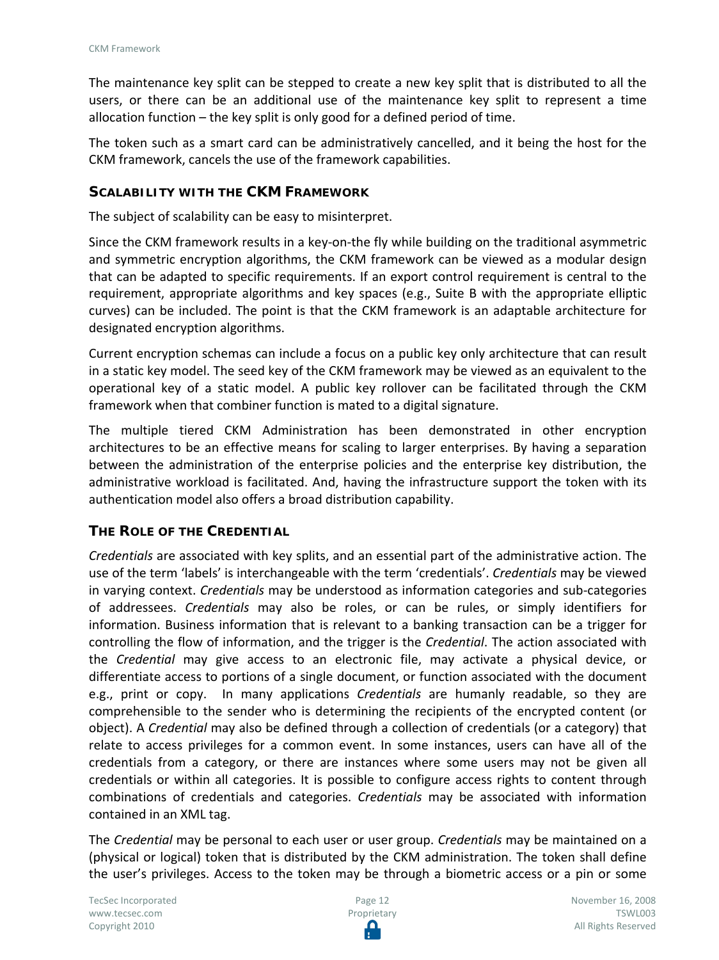The maintenance key split can be stepped to create a new key split that is distributed to all the users, or there can be an additional use of the maintenance key split to represent a time allocation function – the key split is only good for a defined period of time.

The token such as a smart card can be administratively cancelled, and it being the host for the CKM framework, cancels the use of the framework capabilities.

#### **SCALABILITY WITH THE CKM FRAMEWORK**

The subject of scalability can be easy to misinterpret.

Since the CKM framework results in a key-on-the fly while building on the traditional asymmetric and symmetric encryption algorithms, the CKM framework can be viewed as a modular design that can be adapted to specific requirements. If an export control requirement is central to the requirement, appropriate algorithms and key spaces (e.g., Suite B with the appropriate elliptic curves) can be included. The point is that the CKM framework is an adaptable architecture for designated encryption algorithms.

Current encryption schemas can include a focus on a public key only architecture that can result in a static key model. The seed key of the CKM framework may be viewed as an equivalent to the operational key of a static model. A public key rollover can be facilitated through the CKM framework when that combiner function is mated to a digital signature.

The multiple tiered CKM Administration has been demonstrated in other encryption architectures to be an effective means for scaling to larger enterprises. By having a separation between the administration of the enterprise policies and the enterprise key distribution, the administrative workload is facilitated. And, having the infrastructure support the token with its authentication model also offers a broad distribution capability.

#### **THE ROLE OF THE CREDENTIAL**

*Credentials* are associated with key splits, and an essential part of the administrative action. The use of the term 'labels' is interchangeable with the term 'credentials'. *Credentials* may be viewed in varying context. *Credentials* may be understood as information categories and sub-categories of addressees. *Credentials* may also be roles, or can be rules, or simply identifiers for information. Business information that is relevant to a banking transaction can be a trigger for controlling the flow of information, and the trigger is the *Credential*. The action associated with the *Credential* may give access to an electronic file, may activate a physical device, or differentiate access to portions of a single document, or function associated with the document e.g., print or copy. In many applications *Credentials* are humanly readable, so they are comprehensible to the sender who is determining the recipients of the encrypted content (or object). A *Credential* may also be defined through a collection of credentials (or a category) that relate to access privileges for a common event. In some instances, users can have all of the credentials from a category, or there are instances where some users may not be given all credentials or within all categories. It is possible to configure access rights to content through combinations of credentials and categories. *Credentials* may be associated with information contained in an XML tag.

The *Credential* may be personal to each user or user group. *Credentials* may be maintained on a (physical or logical) token that is distributed by the CKM administration. The token shall define the user's privileges. Access to the token may be through a biometric access or a pin or some

TecSec Incorporated [www.tecsec.com](http://www.tecsec.com/) Copyright 2010



November 16, 2008 TSWL003 All Rights Reserved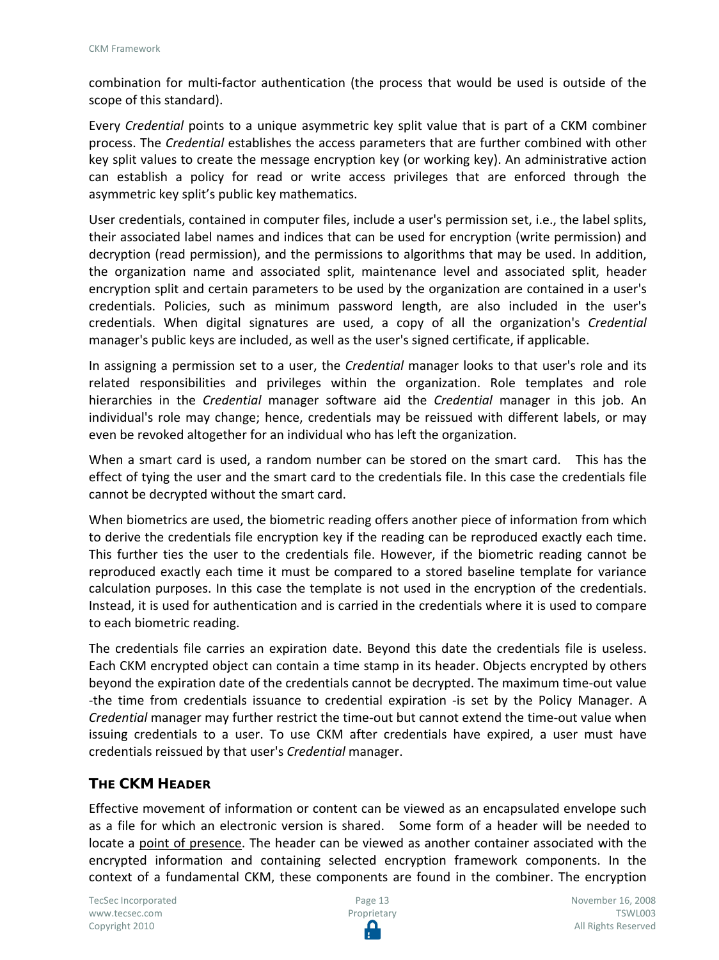combination for multi-factor authentication (the process that would be used is outside of the scope of this standard).

Every *Credential* points to a unique asymmetric key split value that is part of a CKM combiner process. The *Credential* establishes the access parameters that are further combined with other key split values to create the message encryption key (or working key). An administrative action can establish a policy for read or write access privileges that are enforced through the asymmetric key split's public key mathematics.

User credentials, contained in computer files, include a user's permission set, i.e., the label splits, their associated label names and indices that can be used for encryption (write permission) and decryption (read permission), and the permissions to algorithms that may be used. In addition, the organization name and associated split, maintenance level and associated split, header encryption split and certain parameters to be used by the organization are contained in a user's credentials. Policies, such as minimum password length, are also included in the user's credentials. When digital signatures are used, a copy of all the organization's *Credential* manager's public keys are included, as well as the user's signed certificate, if applicable.

In assigning a permission set to a user, the *Credential* manager looks to that user's role and its related responsibilities and privileges within the organization. Role templates and role hierarchies in the *Credential* manager software aid the *Credential* manager in this job. An individual's role may change; hence, credentials may be reissued with different labels, or may even be revoked altogether for an individual who has left the organization.

When a smart card is used, a random number can be stored on the smart card. This has the effect of tying the user and the smart card to the credentials file. In this case the credentials file cannot be decrypted without the smart card.

When biometrics are used, the biometric reading offers another piece of information from which to derive the credentials file encryption key if the reading can be reproduced exactly each time. This further ties the user to the credentials file. However, if the biometric reading cannot be reproduced exactly each time it must be compared to a stored baseline template for variance calculation purposes. In this case the template is not used in the encryption of the credentials. Instead, it is used for authentication and is carried in the credentials where it is used to compare to each biometric reading.

The credentials file carries an expiration date. Beyond this date the credentials file is useless. Each CKM encrypted object can contain a time stamp in its header. Objects encrypted by others beyond the expiration date of the credentials cannot be decrypted. The maximum time-out value -the time from credentials issuance to credential expiration -is set by the Policy Manager. A *Credential* manager may further restrict the time-out but cannot extend the time-out value when issuing credentials to a user. To use CKM after credentials have expired, a user must have credentials reissued by that user's *Credential* manager.

## **THE CKM HEADER**

Effective movement of information or content can be viewed as an encapsulated envelope such as a file for which an electronic version is shared. Some form of a header will be needed to locate a point of presence. The header can be viewed as another container associated with the encrypted information and containing selected encryption framework components. In the context of a fundamental CKM, these components are found in the combiner. The encryption

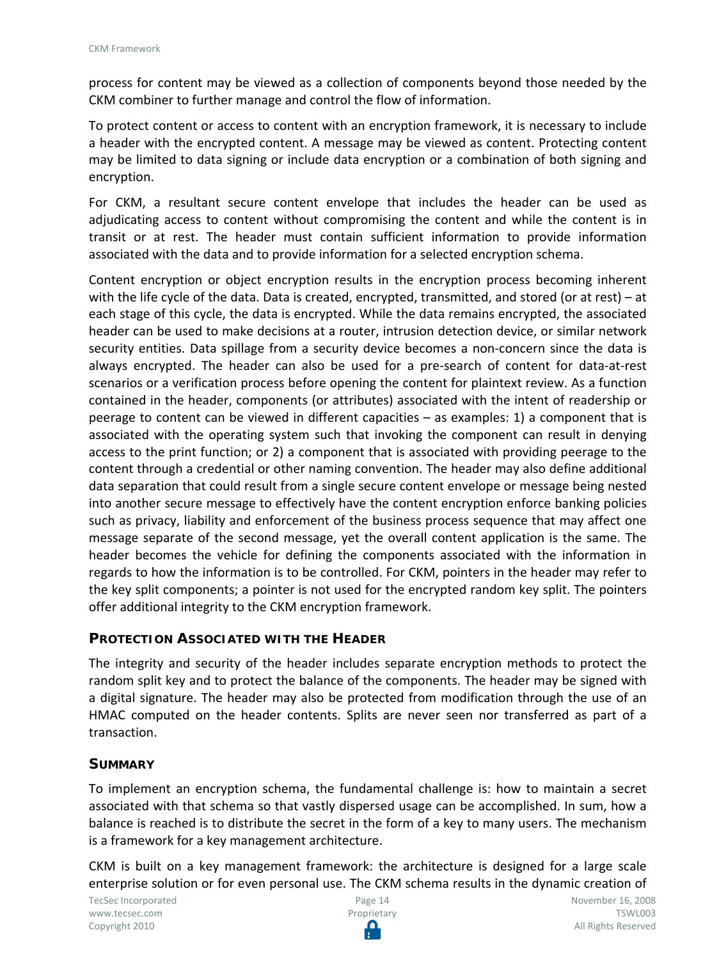process for content may be viewed as a collection of components beyond those needed by the CKM combiner to further manage and control the flow of information.

To protect content or access to content with an encryption framework, it is necessary to include a header with the encrypted content. A message may be viewed as content. Protecting content may be limited to data signing or include data encryption or a combination of both signing and encryption.

For CKM, a resultant secure content envelope that includes the header can be used as adjudicating access to content without compromising the content and while the content is in transit or at rest. The header must contain sufficient information to provide information associated with the data and to provide information for a selected encryption schema.

Content encryption or object encryption results in the encryption process becoming inherent with the life cycle of the data. Data is created, encrypted, transmitted, and stored (or at rest) – at each stage of this cycle, the data is encrypted. While the data remains encrypted, the associated header can be used to make decisions at a router, intrusion detection device, or similar network security entities. Data spillage from a security device becomes a non-concern since the data is always encrypted. The header can also be used for a pre-search of content for data-at-rest scenarios or a verification process before opening the content for plaintext review. As a function contained in the header, components (or attributes) associated with the intent of readership or peerage to content can be viewed in different capacities – as examples: 1) a component that is associated with the operating system such that invoking the component can result in denying access to the print function; or 2) a component that is associated with providing peerage to the content through a credential or other naming convention. The header may also define additional data separation that could result from a single secure content envelope or message being nested into another secure message to effectively have the content encryption enforce banking policies such as privacy, liability and enforcement of the business process sequence that may affect one message separate of the second message, yet the overall content application is the same. The header becomes the vehicle for defining the components associated with the information in regards to how the information is to be controlled. For CKM, pointers in the header may refer to the key split components; a pointer is not used for the encrypted random key split. The pointers offer additional integrity to the CKM encryption framework.

## **PROTECTION ASSOCIATED WITH THE HEADER**

The integrity and security of the header includes separate encryption methods to protect the random split key and to protect the balance of the components. The header may be signed with a digital signature. The header may also be protected from modification through the use of an HMAC computed on the header contents. Splits are never seen nor transferred as part of a transaction.

#### **SUMMARY**

To implement an encryption schema, the fundamental challenge is: how to maintain a secret associated with that schema so that vastly dispersed usage can be accomplished. In sum, how a balance is reached is to distribute the secret in the form of a key to many users. The mechanism is a framework for a key management architecture.

CKM is built on a key management framework: the architecture is designed for a large scale enterprise solution or for even personal use. The CKM schema results in the dynamic creation of